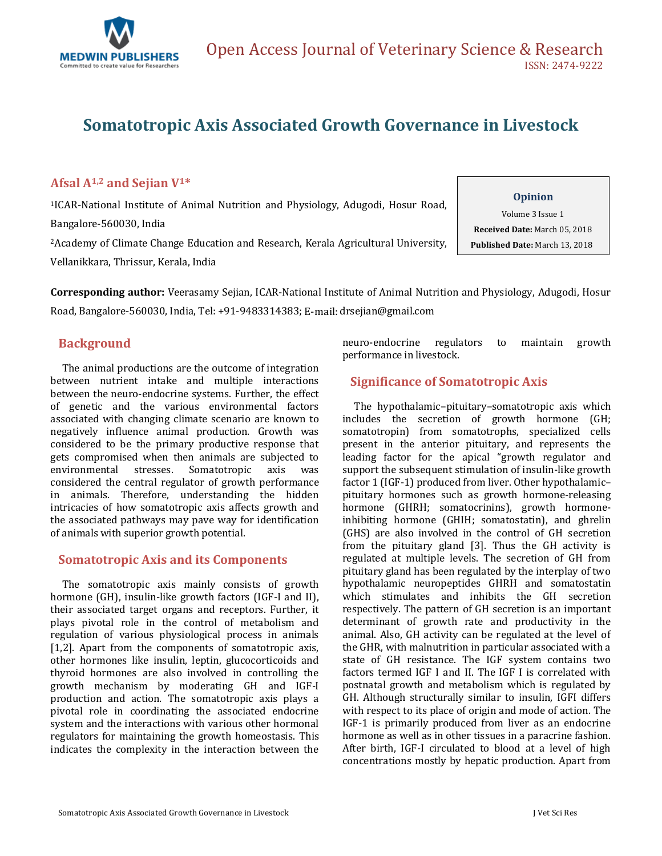

# **Somatotropic Axis Associated Growth Governance in Livestock**

# **Afsal A1,2 and Sejian V1\***

<sup>1</sup>ICAR-National Institute of Animal Nutrition and Physiology, Adugodi, Hosur Road, Bangalore-560030, India <sup>2</sup>Academy of Climate Change Education and Research, Kerala Agricultural University, Vellanikkara, Thrissur, Kerala, India

#### **Opinion**

Volume 3 Issue 1 **Received Date:** March 05, 2018  **Published Date:** March 13, 2018

**Corresponding author:** Veerasamy Sejian, ICAR-National Institute of Animal Nutrition and Physiology, Adugodi, Hosur Road, Bangalore-560030, India, Tel: +91-9483314383; E-mail: [drsejian@gmail.com](mailto:drsejian@gmail.com)

## **Background**

 The animal productions are the outcome of integration between nutrient intake and multiple interactions between the neuro-endocrine systems. Further, the effect of genetic and the various environmental factors associated with changing climate scenario are known to negatively influence animal production. Growth was considered to be the primary productive response that gets compromised when then animals are subjected to environmental stresses. Somatotropic axis was considered the central regulator of growth performance in animals. Therefore, understanding the hidden intricacies of how somatotropic axis affects growth and the associated pathways may pave way for identification of animals with superior growth potential.

## **Somatotropic Axis and its Components**

 The somatotropic axis mainly consists of growth hormone (GH), insulin-like growth factors (IGF-I and II), their associated target organs and receptors. Further, it plays pivotal role in the control of metabolism and regulation of various physiological process in animals [1,2]. Apart from the components of somatotropic axis, other hormones like insulin, leptin, glucocorticoids and thyroid hormones are also involved in controlling the growth mechanism by moderating GH and IGF-I production and action. The somatotropic axis plays a pivotal role in coordinating the associated endocrine system and the interactions with various other hormonal regulators for maintaining the growth homeostasis. This indicates the complexity in the interaction between the

neuro-endocrine regulators to maintain growth performance in livestock.

# **Significance of Somatotropic Axis**

 The hypothalamic–pituitary–somatotropic axis which includes the [secretion](https://en.wikipedia.org/wiki/Secretion) of [growth hormone](https://en.wikipedia.org/wiki/Growth_hormone) (GH; somatotropin) from somatotrophs, specialized cells present in the anterior pituitary, and represents the leading factor for the apical "growth regulator and support the subsequent stimulation of [insulin-like growth](https://en.wikipedia.org/wiki/Insulin-like_growth_factor_1)  [factor 1](https://en.wikipedia.org/wiki/Insulin-like_growth_factor_1) (IGF-1) produced fro[m liver.](https://en.wikipedia.org/wiki/Liver) Other hypothalamic– pituitary hormones such as [growth hormone-releasing](https://en.wikipedia.org/wiki/Growth_hormone-releasing_hormone)  [hormone](https://en.wikipedia.org/wiki/Growth_hormone-releasing_hormone) (GHRH; somatocrinins), [growth hormone](https://en.wikipedia.org/wiki/Growth_hormone-inhibiting_hormone)[inhibiting hormone](https://en.wikipedia.org/wiki/Growth_hormone-inhibiting_hormone) (GHIH; somatostatin), and [ghrelin](https://en.wikipedia.org/wiki/Ghrelin) (GHS) are also involved in the control of GH secretion from the pituitary gland [3]. Thus the GH activity is regulated at multiple levels. The secretion of GH from pituitary gland has been regulated by the interplay of two hypothalamic neuropeptides GHRH and somatostatin which stimulates and inhibits the GH secretion respectively. The pattern of GH secretion is an important determinant of growth rate and productivity in the animal. Also, GH activity can be regulated at the level of the GHR, with malnutrition in particular associated with a state of GH resistance. The IGF system contains two factors termed IGF I and II. The IGF I is correlated with postnatal growth and metabolism which is regulated by GH. Although structurally similar to insulin, IGFI differs with respect to its place of origin and mode of action. The IGF-1 is primarily produced from liver as an endocrine hormone as well as in other tissues in a paracrine fashion. After birth, IGF-I circulated to blood at a level of high concentrations mostly by hepatic production. Apart from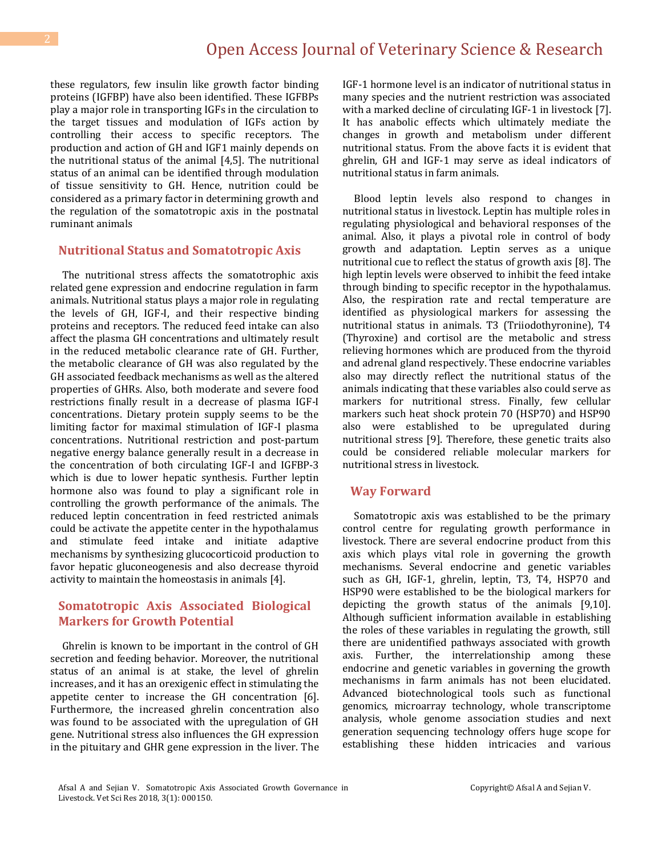these regulators, few insulin like growth factor binding proteins (IGFBP) have also been identified. These IGFBPs play a major role in transporting IGFs in the circulation to the target tissues and modulation of IGFs action by controlling their access to specific receptors. The production and action of GH and IGF1 mainly depends on the nutritional status of the animal [4,5]. The nutritional status of an animal can be identified through modulation of tissue sensitivity to GH. Hence, nutrition could be considered as a primary factor in determining growth and the regulation of the somatotropic axis in the postnatal ruminant animals

#### **Nutritional Status and Somatotropic Axis**

 The nutritional stress affects the somatotrophic axis related gene expression and endocrine regulation in farm animals. Nutritional status plays a major role in regulating the levels of GH, IGF-I, and their respective binding proteins and receptors. The reduced feed intake can also affect the plasma GH concentrations and ultimately result in the reduced metabolic clearance rate of GH. Further, the metabolic clearance of GH was also regulated by the GH associated feedback mechanisms as well as the altered properties of GHRs. Also, both moderate and severe food restrictions finally result in a decrease of plasma IGF-I concentrations. Dietary protein supply seems to be the limiting factor for maximal stimulation of IGF-I plasma concentrations. Nutritional restriction and post-partum negative energy balance generally result in a decrease in the concentration of both circulating IGF-I and IGFBP-3 which is due to lower hepatic synthesis. Further leptin hormone also was found to play a significant role in controlling the growth performance of the animals. The reduced leptin concentration in feed restricted animals could be activate the appetite center in the hypothalamus and stimulate feed intake and initiate adaptive mechanisms by synthesizing glucocorticoid production to favor hepatic gluconeogenesis and also decrease thyroid activity to maintain the homeostasis in animals [4].

## **Somatotropic Axis Associated Biological Markers for Growth Potential**

 Ghrelin is known to be important in the control of GH secretion and feeding behavior. Moreover, the nutritional status of an animal is at stake, the level of ghrelin increases, and it has an orexigenic effect in stimulating the appetite center to increase the GH concentration [6]. Furthermore, the increased ghrelin concentration also was found to be associated with the upregulation of GH gene. Nutritional stress also influences the GH expression in the pituitary and GHR gene expression in the liver. The

IGF-1 hormone level is an indicator of nutritional status in many species and the nutrient restriction was associated with a marked decline of circulating IGF-1 in livestock [7]. It has anabolic effects which ultimately mediate the changes in growth and metabolism under different nutritional status. From the above facts it is evident that ghrelin, GH and IGF-1 may serve as ideal indicators of nutritional status in farm animals.

 Blood leptin levels also respond to changes in nutritional status in livestock. Leptin has multiple roles in regulating physiological and behavioral responses of the animal. Also, it plays a pivotal role in control of body growth and adaptation. Leptin serves as a unique nutritional cue to reflect the status of growth axis [8]. The high leptin levels were observed to inhibit the feed intake through binding to specific receptor in the hypothalamus. Also, the respiration rate and rectal temperature are identified as physiological markers for assessing the nutritional status in animals. T3 (Triiodothyronine), T4 (Thyroxine) and cortisol are the metabolic and stress relieving hormones which are produced from the thyroid and adrenal gland respectively. These endocrine variables also may directly reflect the nutritional status of the animals indicating that these variables also could serve as markers for nutritional stress. Finally, few cellular markers such heat shock protein 70 (HSP70) and HSP90 also were established to be upregulated during nutritional stress [9]. Therefore, these genetic traits also could be considered reliable molecular markers for nutritional stress in livestock.

#### **Way Forward**

 Somatotropic axis was established to be the primary control centre for regulating growth performance in livestock. There are several endocrine product from this axis which plays vital role in governing the growth mechanisms. Several endocrine and genetic variables such as GH, IGF-1, ghrelin, leptin, T3, T4, HSP70 and HSP90 were established to be the biological markers for depicting the growth status of the animals [9,10]. Although sufficient information available in establishing the roles of these variables in regulating the growth, still there are unidentified pathways associated with growth axis. Further, the interrelationship among these endocrine and genetic variables in governing the growth mechanisms in farm animals has not been elucidated. Advanced biotechnological tools such as functional genomics, microarray technology, whole transcriptome analysis, whole genome association studies and next generation sequencing technology offers huge scope for establishing these hidden intricacies and various